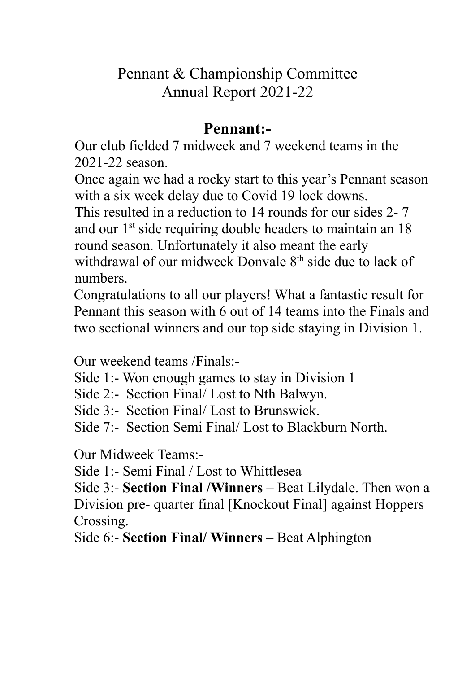## Pennant & Championship Committee Annual Report 2021-22

## **Pennant:-**

Our club fielded 7 midweek and 7 weekend teams in the 2021-22 season.

Once again we had a rocky start to this year's Pennant season with a six week delay due to Covid 19 lock downs.

This resulted in a reduction to 14 rounds for our sides 2- 7 and our 1<sup>st</sup> side requiring double headers to maintain an 18 round season. Unfortunately it also meant the early withdrawal of our midweek Donvale 8<sup>th</sup> side due to lack of numbers.

Congratulations to all our players! What a fantastic result for Pennant this season with 6 out of 14 teams into the Finals and two sectional winners and our top side staying in Division 1.

Our weekend teams /Finals:-

Side 1:- Won enough games to stay in Division 1

Side 2:- Section Final/ Lost to Nth Balwyn.

Side 3:- Section Final/ Lost to Brunswick.

Side 7:- Section Semi Final/ Lost to Blackburn North.

Our Midweek Teams:-

Side 1:- Semi Final / Lost to Whittlesea

Side 3:- **Section Final /Winners** – Beat Lilydale. Then won a Division pre- quarter final [Knockout Final] against Hoppers Crossing.

Side 6:- **Section Final/ Winners** – Beat Alphington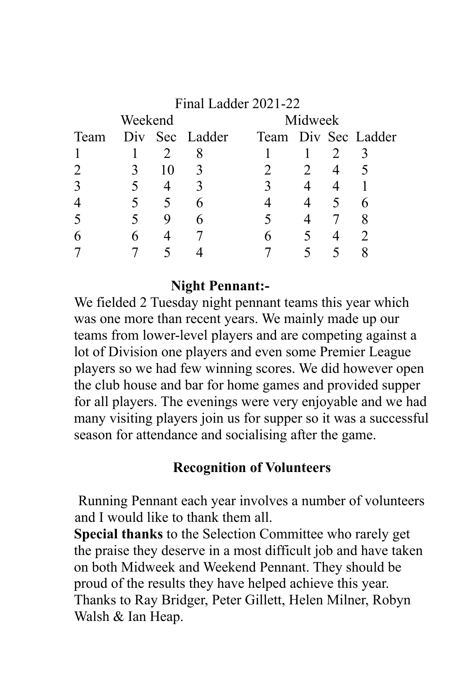| Final Ladder 2021-22 |   |    |                |         |                |                |                     |  |
|----------------------|---|----|----------------|---------|----------------|----------------|---------------------|--|
| Weekend              |   |    |                | Midweek |                |                |                     |  |
| Team                 |   |    | Div Sec Ladder |         |                |                | Team Div Sec Ladder |  |
|                      |   |    |                |         |                |                |                     |  |
|                      |   | 10 |                |         | 2              | $\overline{4}$ |                     |  |
| 3                    |   |    |                |         |                |                |                     |  |
|                      |   |    |                |         | $\overline{4}$ |                |                     |  |
|                      |   |    | h              |         | $\overline{4}$ |                |                     |  |
| 6                    | 6 |    |                |         |                |                |                     |  |
|                      |   |    |                |         |                |                |                     |  |

#### **Night Pennant:-**

We fielded 2 Tuesday night pennant teams this year which was one more than recent years. We mainly made up our teams from lower-level players and are competing against a lot of Division one players and even some Premier League players so we had few winning scores. We did however open the club house and bar for home games and provided supper for all players. The evenings were very enjoyable and we had many visiting players join us for supper so it was a successful season for attendance and socialising after the game.

#### **Recognition of Volunteers**

Running Pennant each year involves a number of volunteers and I would like to thank them all.

**Special thanks** to the Selection Committee who rarely get the praise they deserve in a most difficult job and have taken on both Midweek and Weekend Pennant. They should be proud of the results they have helped achieve this year. Thanks to Ray Bridger, Peter Gillett, Helen Milner, Robyn Walsh & Ian Heap.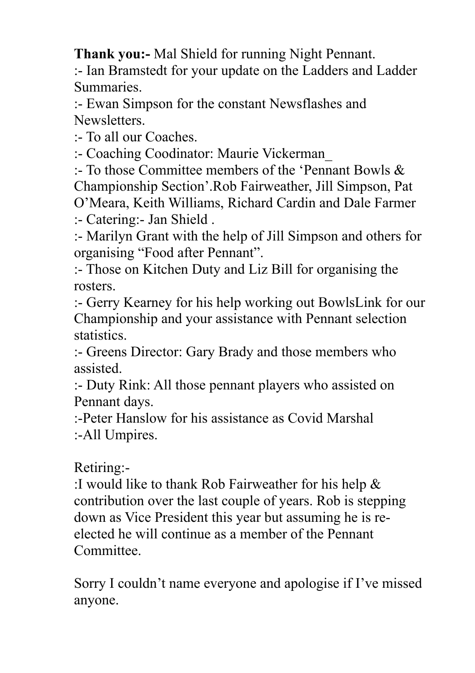**Thank you:-** Mal Shield for running Night Pennant.

:- Ian Bramstedt for your update on the Ladders and Ladder Summaries.

:- Ewan Simpson for the constant Newsflashes and Newsletters.

:- To all our Coaches.

:- Coaching Coodinator: Maurie Vickerman\_

:- To those Committee members of the 'Pennant Bowls & Championship Section'.Rob Fairweather, Jill Simpson, Pat O'Meara, Keith Williams, Richard Cardin and Dale Farmer :- Catering:- Jan Shield .

:- Marilyn Grant with the help of Jill Simpson and others for organising "Food after Pennant".

:- Those on Kitchen Duty and Liz Bill for organising the rosters.

:- Gerry Kearney for his help working out BowlsLink for our Championship and your assistance with Pennant selection statistics.

:- Greens Director: Gary Brady and those members who assisted.

:- Duty Rink: All those pennant players who assisted on Pennant days.

:-Peter Hanslow for his assistance as Covid Marshal :-All Umpires.

## Retiring:-

:I would like to thank Rob Fairweather for his help & contribution over the last couple of years. Rob is stepping down as Vice President this year but assuming he is reelected he will continue as a member of the Pennant Committee.

Sorry I couldn't name everyone and apologise if I've missed anyone.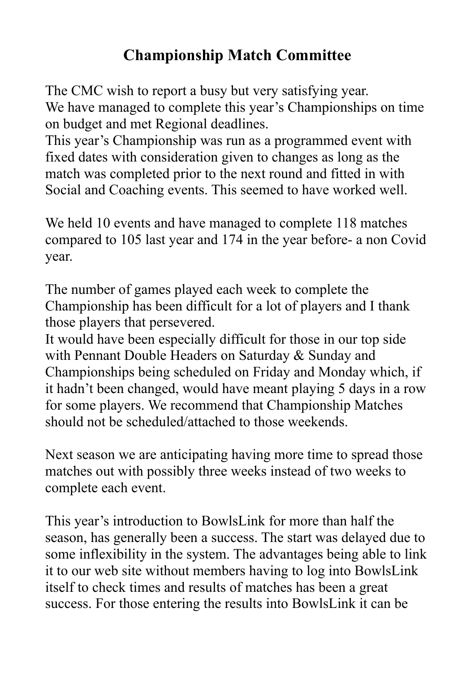# **Championship Match Committee**

The CMC wish to report a busy but very satisfying year. We have managed to complete this year's Championships on time on budget and met Regional deadlines.

This year's Championship was run as a programmed event with fixed dates with consideration given to changes as long as the match was completed prior to the next round and fitted in with Social and Coaching events. This seemed to have worked well.

We held 10 events and have managed to complete 118 matches compared to 105 last year and 174 in the year before- a non Covid year.

The number of games played each week to complete the Championship has been difficult for a lot of players and I thank those players that persevered.

It would have been especially difficult for those in our top side with Pennant Double Headers on Saturday & Sunday and Championships being scheduled on Friday and Monday which, if it hadn't been changed, would have meant playing 5 days in a row for some players. We recommend that Championship Matches should not be scheduled/attached to those weekends.

Next season we are anticipating having more time to spread those matches out with possibly three weeks instead of two weeks to complete each event.

This year's introduction to BowlsLink for more than half the season, has generally been a success. The start was delayed due to some inflexibility in the system. The advantages being able to link it to our web site without members having to log into BowlsLink itself to check times and results of matches has been a great success. For those entering the results into BowlsLink it can be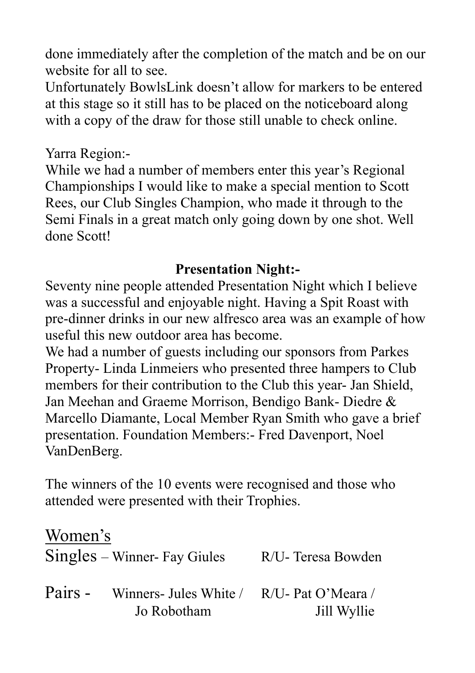done immediately after the completion of the match and be on our website for all to see.

Unfortunately BowlsLink doesn't allow for markers to be entered at this stage so it still has to be placed on the noticeboard along with a copy of the draw for those still unable to check online.

#### Yarra Region:-

While we had a number of members enter this year's Regional Championships I would like to make a special mention to Scott Rees, our Club Singles Champion, who made it through to the Semi Finals in a great match only going down by one shot. Well done Scott!

#### **Presentation Night:-**

Seventy nine people attended Presentation Night which I believe was a successful and enjoyable night. Having a Spit Roast with pre-dinner drinks in our new alfresco area was an example of how useful this new outdoor area has become.

We had a number of guests including our sponsors from Parkes Property- Linda Linmeiers who presented three hampers to Club members for their contribution to the Club this year- Jan Shield, Jan Meehan and Graeme Morrison, Bendigo Bank- Diedre & Marcello Diamante, Local Member Ryan Smith who gave a brief presentation. Foundation Members:- Fred Davenport, Noel VanDenBerg.

The winners of the 10 events were recognised and those who attended were presented with their Trophies.

Women's

|         | Singles – Winner- Fay Giules                             | R/U- Teresa Bowden |
|---------|----------------------------------------------------------|--------------------|
| Pairs - | Winners- Jules White / R/U- Pat O'Meara /<br>Jo Robotham | Jill Wyllie        |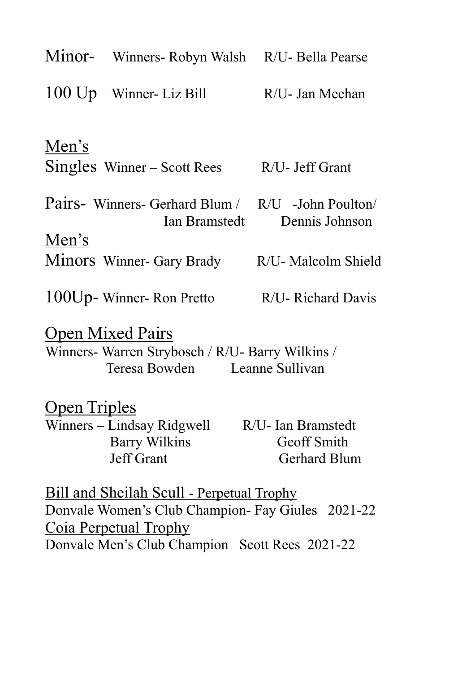|                                                                                                              | Minor- Winners- Robyn Walsh R/U- Bella Pearse                                                                                                                                           |                                                          |  |  |  |  |
|--------------------------------------------------------------------------------------------------------------|-----------------------------------------------------------------------------------------------------------------------------------------------------------------------------------------|----------------------------------------------------------|--|--|--|--|
|                                                                                                              | 100 Up Winner- Liz Bill                                                                                                                                                                 | R/U- Jan Meehan                                          |  |  |  |  |
| Men's                                                                                                        | $Singles$ Winner – Scott Rees                                                                                                                                                           | R/U- Jeff Grant                                          |  |  |  |  |
|                                                                                                              | Pairs- Winners- Gerhard Blum / R/U -John Poulton                                                                                                                                        | Ian Bramstedt Dennis Johnson                             |  |  |  |  |
| Men's                                                                                                        | Minors Winner- Gary Brady                                                                                                                                                               | R/U- Malcolm Shield                                      |  |  |  |  |
|                                                                                                              | $100$ Up-Winner-Ron Pretto                                                                                                                                                              | R/U- Richard Davis                                       |  |  |  |  |
| <b>Open Mixed Pairs</b><br>Winners- Warren Strybosch / R/U- Barry Wilkins /<br>Teresa Bowden Leanne Sullivan |                                                                                                                                                                                         |                                                          |  |  |  |  |
| <b>Open Triples</b>                                                                                          | Winners – Lindsay Ridgwell<br><b>Barry Wilkins</b><br><b>Jeff Grant</b>                                                                                                                 | R/U- Ian Bramstedt<br>Geoff Smith<br><b>Gerhard Blum</b> |  |  |  |  |
|                                                                                                              | <u>Bill and Sheilah Scull - Perpetual Trophy</u><br>Donvale Women's Club Champion- Fay Giules 2021-22<br><b>Coja Perpetual Trophy</b><br>Donvale Men's Club Champion Scott Rees 2021-22 |                                                          |  |  |  |  |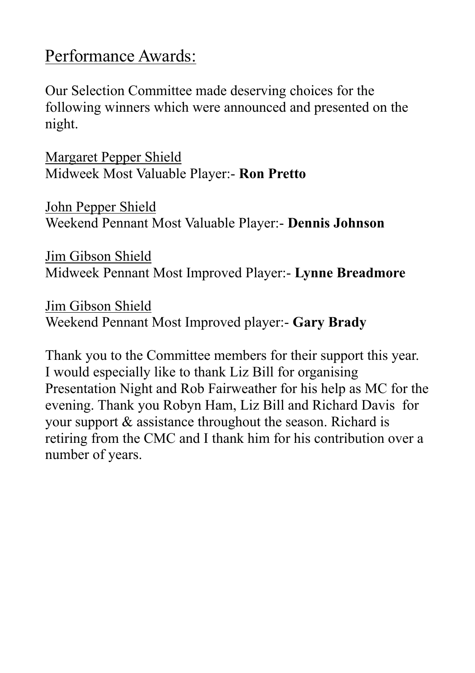# Performance Awards:

Our Selection Committee made deserving choices for the following winners which were announced and presented on the night.

Margaret Pepper Shield Midweek Most Valuable Player:- **Ron Pretto**

John Pepper Shield Weekend Pennant Most Valuable Player:- **Dennis Johnson**

Jim Gibson Shield Midweek Pennant Most Improved Player:- **Lynne Breadmore**

Jim Gibson Shield Weekend Pennant Most Improved player:- **Gary Brady**

Thank you to the Committee members for their support this year. I would especially like to thank Liz Bill for organising Presentation Night and Rob Fairweather for his help as MC for the evening. Thank you Robyn Ham, Liz Bill and Richard Davis for your support & assistance throughout the season. Richard is retiring from the CMC and I thank him for his contribution over a number of years.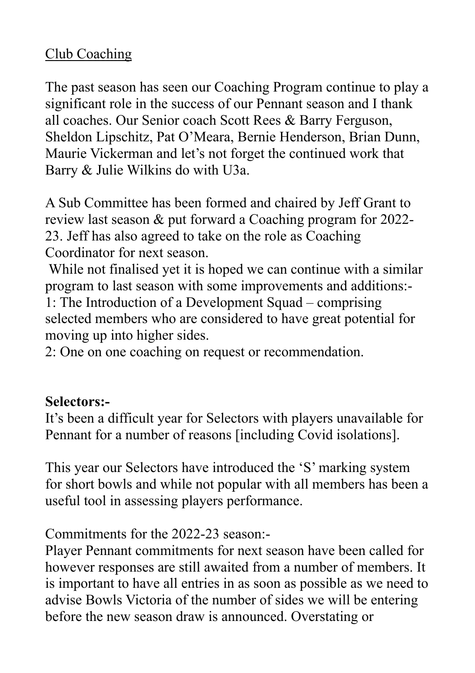## Club Coaching

The past season has seen our Coaching Program continue to play a significant role in the success of our Pennant season and I thank all coaches. Our Senior coach Scott Rees & Barry Ferguson, Sheldon Lipschitz, Pat O'Meara, Bernie Henderson, Brian Dunn, Maurie Vickerman and let's not forget the continued work that Barry & Julie Wilkins do with U3a.

A Sub Committee has been formed and chaired by Jeff Grant to review last season & put forward a Coaching program for 2022- 23. Jeff has also agreed to take on the role as Coaching Coordinator for next season.

While not finalised yet it is hoped we can continue with a similar program to last season with some improvements and additions:- 1: The Introduction of a Development Squad – comprising selected members who are considered to have great potential for moving up into higher sides.

2: One on one coaching on request or recommendation.

### **Selectors:-**

It's been a difficult year for Selectors with players unavailable for Pennant for a number of reasons [including Covid isolations].

This year our Selectors have introduced the 'S' marking system for short bowls and while not popular with all members has been a useful tool in assessing players performance.

#### Commitments for the 2022-23 season:-

Player Pennant commitments for next season have been called for however responses are still awaited from a number of members. It is important to have all entries in as soon as possible as we need to advise Bowls Victoria of the number of sides we will be entering before the new season draw is announced. Overstating or